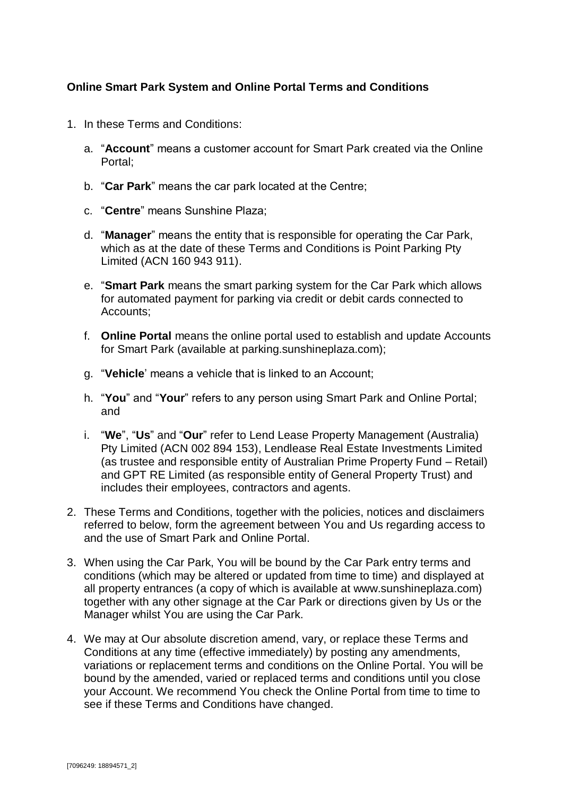# **Online Smart Park System and Online Portal Terms and Conditions**

- 1. In these Terms and Conditions:
	- a. "**Account**" means a customer account for Smart Park created via the Online Portal;
	- b. "**Car Park**" means the car park located at the Centre;
	- c. "**Centre**" means Sunshine Plaza;
	- d. "**Manager**" means the entity that is responsible for operating the Car Park, which as at the date of these Terms and Conditions is Point Parking Pty Limited (ACN 160 943 911).
	- e. "**Smart Park** means the smart parking system for the Car Park which allows for automated payment for parking via credit or debit cards connected to Accounts;
	- f. **Online Portal** means the online portal used to establish and update Accounts for Smart Park (available at parking.sunshineplaza.com);
	- g. "**Vehicle**' means a vehicle that is linked to an Account;
	- h. "**You**" and "**Your**" refers to any person using Smart Park and Online Portal; and
	- i. "**We**", "**Us**" and "**Our**" refer to Lend Lease Property Management (Australia) Pty Limited (ACN 002 894 153), Lendlease Real Estate Investments Limited (as trustee and responsible entity of Australian Prime Property Fund – Retail) and GPT RE Limited (as responsible entity of General Property Trust) and includes their employees, contractors and agents.
- 2. These Terms and Conditions, together with the policies, notices and disclaimers referred to below, form the agreement between You and Us regarding access to and the use of Smart Park and Online Portal.
- 3. When using the Car Park, You will be bound by the Car Park entry terms and conditions (which may be altered or updated from time to time) and displayed at all property entrances (a copy of which is available at www.sunshineplaza.com) together with any other signage at the Car Park or directions given by Us or the Manager whilst You are using the Car Park.
- 4. We may at Our absolute discretion amend, vary, or replace these Terms and Conditions at any time (effective immediately) by posting any amendments, variations or replacement terms and conditions on the Online Portal. You will be bound by the amended, varied or replaced terms and conditions until you close your Account. We recommend You check the Online Portal from time to time to see if these Terms and Conditions have changed.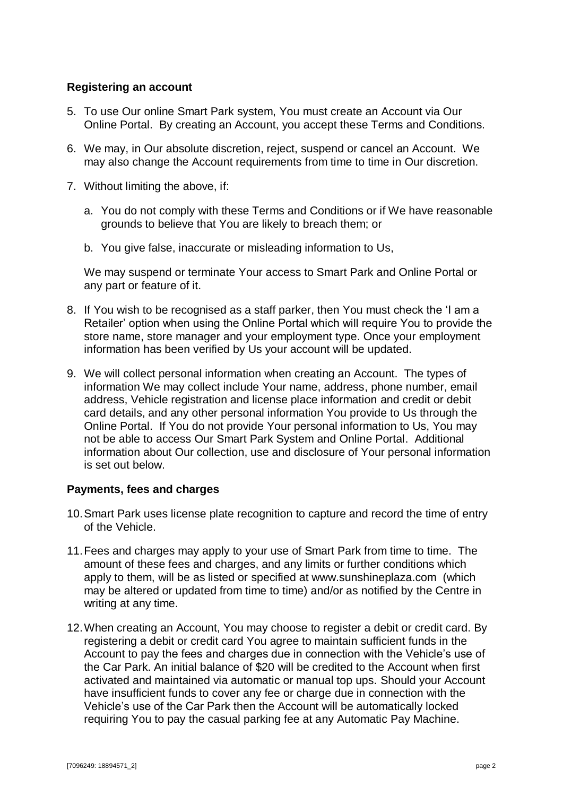## **Registering an account**

- 5. To use Our online Smart Park system, You must create an Account via Our Online Portal. By creating an Account, you accept these Terms and Conditions.
- 6. We may, in Our absolute discretion, reject, suspend or cancel an Account. We may also change the Account requirements from time to time in Our discretion.
- 7. Without limiting the above, if:
	- a. You do not comply with these Terms and Conditions or if We have reasonable grounds to believe that You are likely to breach them; or
	- b. You give false, inaccurate or misleading information to Us,

We may suspend or terminate Your access to Smart Park and Online Portal or any part or feature of it.

- 8. If You wish to be recognised as a staff parker, then You must check the 'I am a Retailer' option when using the Online Portal which will require You to provide the store name, store manager and your employment type. Once your employment information has been verified by Us your account will be updated.
- 9. We will collect personal information when creating an Account. The types of information We may collect include Your name, address, phone number, email address, Vehicle registration and license place information and credit or debit card details, and any other personal information You provide to Us through the Online Portal. If You do not provide Your personal information to Us, You may not be able to access Our Smart Park System and Online Portal. Additional information about Our collection, use and disclosure of Your personal information is set out below.

## **Payments, fees and charges**

- 10.Smart Park uses license plate recognition to capture and record the time of entry of the Vehicle.
- 11.Fees and charges may apply to your use of Smart Park from time to time. The amount of these fees and charges, and any limits or further conditions which apply to them, will be as listed or specified at www.sunshineplaza.com (which may be altered or updated from time to time) and/or as notified by the Centre in writing at any time.
- 12.When creating an Account, You may choose to register a debit or credit card. By registering a debit or credit card You agree to maintain sufficient funds in the Account to pay the fees and charges due in connection with the Vehicle's use of the Car Park. An initial balance of \$20 will be credited to the Account when first activated and maintained via automatic or manual top ups. Should your Account have insufficient funds to cover any fee or charge due in connection with the Vehicle's use of the Car Park then the Account will be automatically locked requiring You to pay the casual parking fee at any Automatic Pay Machine.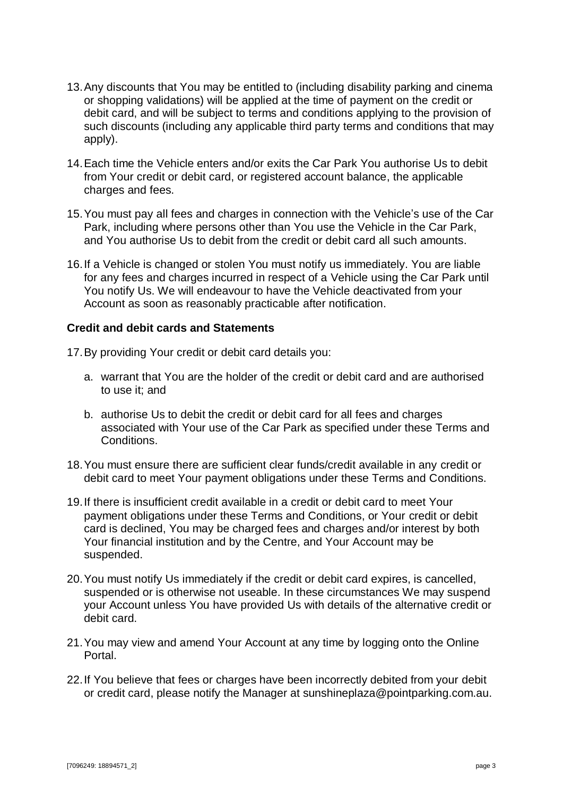- 13.Any discounts that You may be entitled to (including disability parking and cinema or shopping validations) will be applied at the time of payment on the credit or debit card, and will be subject to terms and conditions applying to the provision of such discounts (including any applicable third party terms and conditions that may apply).
- 14.Each time the Vehicle enters and/or exits the Car Park You authorise Us to debit from Your credit or debit card, or registered account balance, the applicable charges and fees.
- 15.You must pay all fees and charges in connection with the Vehicle's use of the Car Park, including where persons other than You use the Vehicle in the Car Park, and You authorise Us to debit from the credit or debit card all such amounts.
- 16.If a Vehicle is changed or stolen You must notify us immediately. You are liable for any fees and charges incurred in respect of a Vehicle using the Car Park until You notify Us. We will endeavour to have the Vehicle deactivated from your Account as soon as reasonably practicable after notification.

## **Credit and debit cards and Statements**

17.By providing Your credit or debit card details you:

- a. warrant that You are the holder of the credit or debit card and are authorised to use it; and
- b. authorise Us to debit the credit or debit card for all fees and charges associated with Your use of the Car Park as specified under these Terms and Conditions.
- 18.You must ensure there are sufficient clear funds/credit available in any credit or debit card to meet Your payment obligations under these Terms and Conditions.
- 19.If there is insufficient credit available in a credit or debit card to meet Your payment obligations under these Terms and Conditions, or Your credit or debit card is declined, You may be charged fees and charges and/or interest by both Your financial institution and by the Centre, and Your Account may be suspended.
- 20.You must notify Us immediately if the credit or debit card expires, is cancelled, suspended or is otherwise not useable. In these circumstances We may suspend your Account unless You have provided Us with details of the alternative credit or debit card.
- 21.You may view and amend Your Account at any time by logging onto the Online Portal.
- 22.If You believe that fees or charges have been incorrectly debited from your debit or credit card, please notify the Manager at sunshineplaza@pointparking.com.au.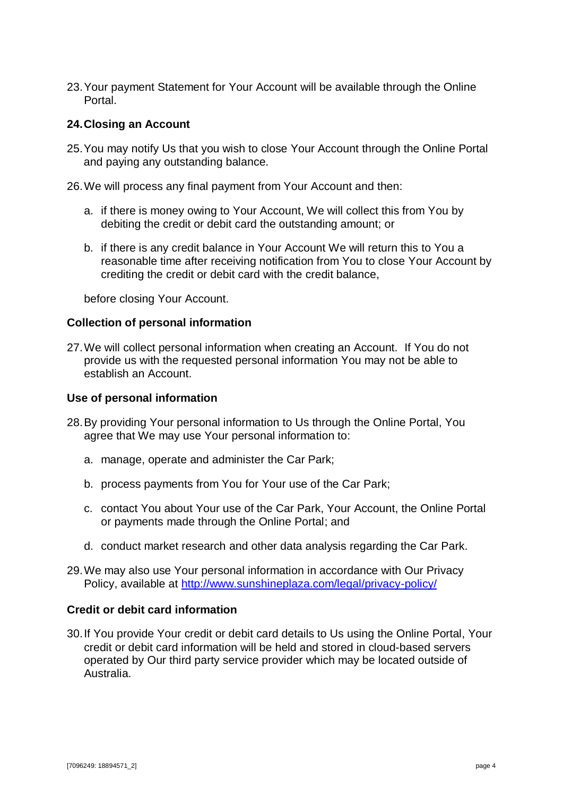23.Your payment Statement for Your Account will be available through the Online Portal.

## **24.Closing an Account**

- 25.You may notify Us that you wish to close Your Account through the Online Portal and paying any outstanding balance.
- 26.We will process any final payment from Your Account and then:
	- a. if there is money owing to Your Account, We will collect this from You by debiting the credit or debit card the outstanding amount; or
	- b. if there is any credit balance in Your Account We will return this to You a reasonable time after receiving notification from You to close Your Account by crediting the credit or debit card with the credit balance,

before closing Your Account.

#### **Collection of personal information**

27.We will collect personal information when creating an Account. If You do not provide us with the requested personal information You may not be able to establish an Account.

#### **Use of personal information**

- 28.By providing Your personal information to Us through the Online Portal, You agree that We may use Your personal information to:
	- a. manage, operate and administer the Car Park;
	- b. process payments from You for Your use of the Car Park;
	- c. contact You about Your use of the Car Park, Your Account, the Online Portal or payments made through the Online Portal; and
	- d. conduct market research and other data analysis regarding the Car Park.
- 29.We may also use Your personal information in accordance with Our Privacy Policy, available at<http://www.sunshineplaza.com/legal/privacy-policy/>

## **Credit or debit card information**

30.If You provide Your credit or debit card details to Us using the Online Portal, Your credit or debit card information will be held and stored in cloud-based servers operated by Our third party service provider which may be located outside of Australia.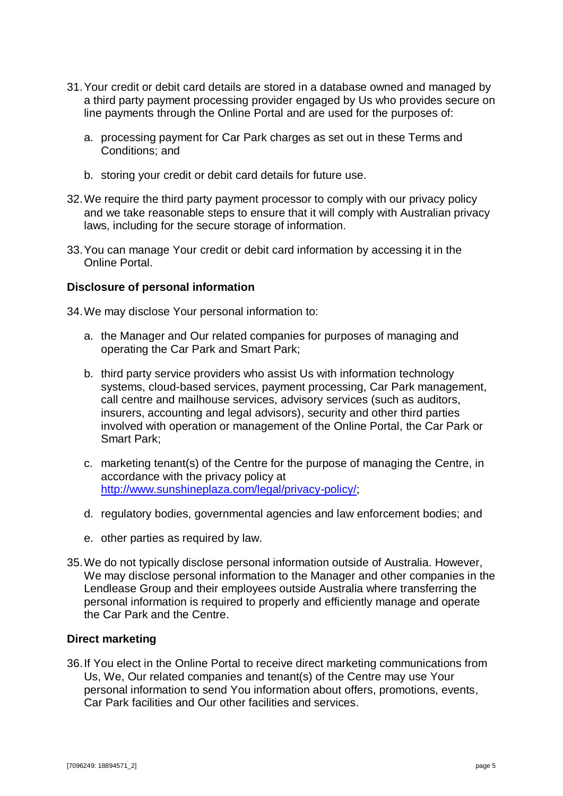- 31.Your credit or debit card details are stored in a database owned and managed by a third party payment processing provider engaged by Us who provides secure on line payments through the Online Portal and are used for the purposes of:
	- a. processing payment for Car Park charges as set out in these Terms and Conditions; and
	- b. storing your credit or debit card details for future use.
- 32.We require the third party payment processor to comply with our privacy policy and we take reasonable steps to ensure that it will comply with Australian privacy laws, including for the secure storage of information.
- 33.You can manage Your credit or debit card information by accessing it in the Online Portal.

#### **Disclosure of personal information**

34.We may disclose Your personal information to:

- a. the Manager and Our related companies for purposes of managing and operating the Car Park and Smart Park;
- b. third party service providers who assist Us with information technology systems, cloud-based services, payment processing, Car Park management, call centre and mailhouse services, advisory services (such as auditors, insurers, accounting and legal advisors), security and other third parties involved with operation or management of the Online Portal, the Car Park or Smart Park;
- c. marketing tenant(s) of the Centre for the purpose of managing the Centre, in accordance with the privacy policy at [http://www.sunshineplaza.com/legal/privacy-policy/;](http://www.sunshineplaza.com/legal/privacy-policy/)
- d. regulatory bodies, governmental agencies and law enforcement bodies; and
- e. other parties as required by law.
- 35.We do not typically disclose personal information outside of Australia. However, We may disclose personal information to the Manager and other companies in the Lendlease Group and their employees outside Australia where transferring the personal information is required to properly and efficiently manage and operate the Car Park and the Centre.

#### **Direct marketing**

36.If You elect in the Online Portal to receive direct marketing communications from Us, We, Our related companies and tenant(s) of the Centre may use Your personal information to send You information about offers, promotions, events, Car Park facilities and Our other facilities and services.